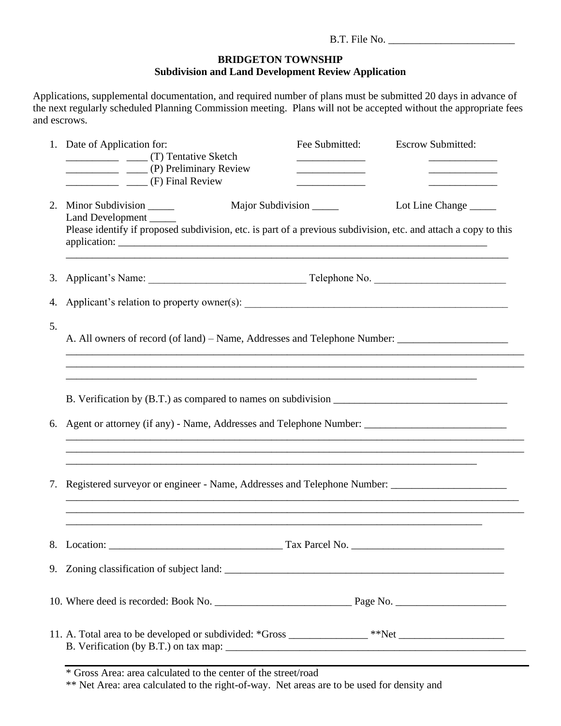## **BRIDGETON TOWNSHIP Subdivision and Land Development Review Application**

Applications, supplemental documentation, and required number of plans must be submitted 20 days in advance of the next regularly scheduled Planning Commission meeting. Plans will not be accepted without the appropriate fees and escrows.

|    | 1. Date of Application for:<br>________________ (P) Preliminary Review<br>(F) Final Review                                                                                               | Fee Submitted: | <b>Escrow Submitted:</b> |  |
|----|------------------------------------------------------------------------------------------------------------------------------------------------------------------------------------------|----------------|--------------------------|--|
|    | 2. Minor Subdivision _______<br>Major Subdivision<br>Land Development<br>Please identify if proposed subdivision, etc. is part of a previous subdivision, etc. and attach a copy to this |                | Lot Line Change          |  |
|    |                                                                                                                                                                                          |                |                          |  |
| 4. |                                                                                                                                                                                          |                |                          |  |
| 5. | A. All owners of record (of land) – Name, Addresses and Telephone Number: __________________________<br><u> 1989 - Johann Barn, mars an t-Amerikaansk politiker (* 1908)</u>             |                |                          |  |
|    |                                                                                                                                                                                          |                |                          |  |
|    |                                                                                                                                                                                          |                |                          |  |
| 6. | Agent or attorney (if any) - Name, Addresses and Telephone Number:<br><u> 1989 - Johann Barbara, margaret eta idazlea (h. 1989).</u>                                                     |                |                          |  |
| 7. | Registered surveyor or engineer - Name, Addresses and Telephone Number: ___________________________                                                                                      |                |                          |  |
|    | 8. Location:                                                                                                                                                                             | Tax Parcel No. |                          |  |
|    |                                                                                                                                                                                          |                |                          |  |
|    |                                                                                                                                                                                          |                |                          |  |
|    | 11. A. Total area to be developed or subdivided: *Gross _________________**Net _______________________________                                                                           |                |                          |  |

\* Gross Area: area calculated to the center of the street/road

\*\* Net Area: area calculated to the right-of-way. Net areas are to be used for density and